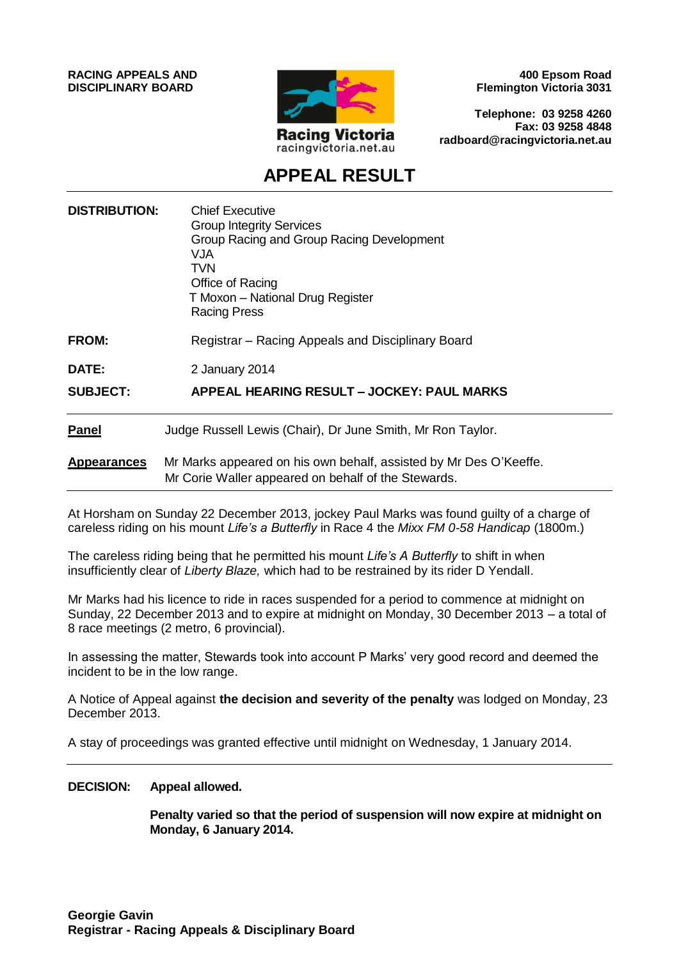**RACING APPEALS AND DISCIPLINARY BOARD**



**400 Epsom Road Flemington Victoria 3031**

**Telephone: 03 9258 4260 Fax: 03 9258 4848 radboard@racingvictoria.net.au**

## **APPEAL RESULT**

| <b>DISTRIBUTION:</b> | <b>Chief Executive</b><br><b>Group Integrity Services</b><br>Group Racing and Group Racing Development<br>VJA<br><b>TVN</b><br>Office of Racing<br>T Moxon - National Drug Register<br><b>Racing Press</b> |
|----------------------|------------------------------------------------------------------------------------------------------------------------------------------------------------------------------------------------------------|
| <b>FROM:</b>         | Registrar – Racing Appeals and Disciplinary Board                                                                                                                                                          |
| DATE:                | 2 January 2014                                                                                                                                                                                             |
| <b>SUBJECT:</b>      | APPEAL HEARING RESULT – JOCKEY: PAUL MARKS                                                                                                                                                                 |
| <b>Panel</b>         | Judge Russell Lewis (Chair), Dr June Smith, Mr Ron Taylor.                                                                                                                                                 |
| <b>Appearances</b>   | Mr Marks appeared on his own behalf, assisted by Mr Des O'Keeffe.<br>Mr Corie Waller appeared on behalf of the Stewards.                                                                                   |

At Horsham on Sunday 22 December 2013, jockey Paul Marks was found guilty of a charge of careless riding on his mount *Life's a Butterfly* in Race 4 the *Mixx FM 0-58 Handicap* (1800m.)

The careless riding being that he permitted his mount *Life's A Butterfly* to shift in when insufficiently clear of *Liberty Blaze,* which had to be restrained by its rider D Yendall.

Mr Marks had his licence to ride in races suspended for a period to commence at midnight on Sunday, 22 December 2013 and to expire at midnight on Monday, 30 December 2013 – a total of 8 race meetings (2 metro, 6 provincial).

In assessing the matter, Stewards took into account P Marks' very good record and deemed the incident to be in the low range.

A Notice of Appeal against **the decision and severity of the penalty** was lodged on Monday, 23 December 2013.

A stay of proceedings was granted effective until midnight on Wednesday, 1 January 2014.

#### **DECISION: Appeal allowed.**

**Penalty varied so that the period of suspension will now expire at midnight on Monday, 6 January 2014.**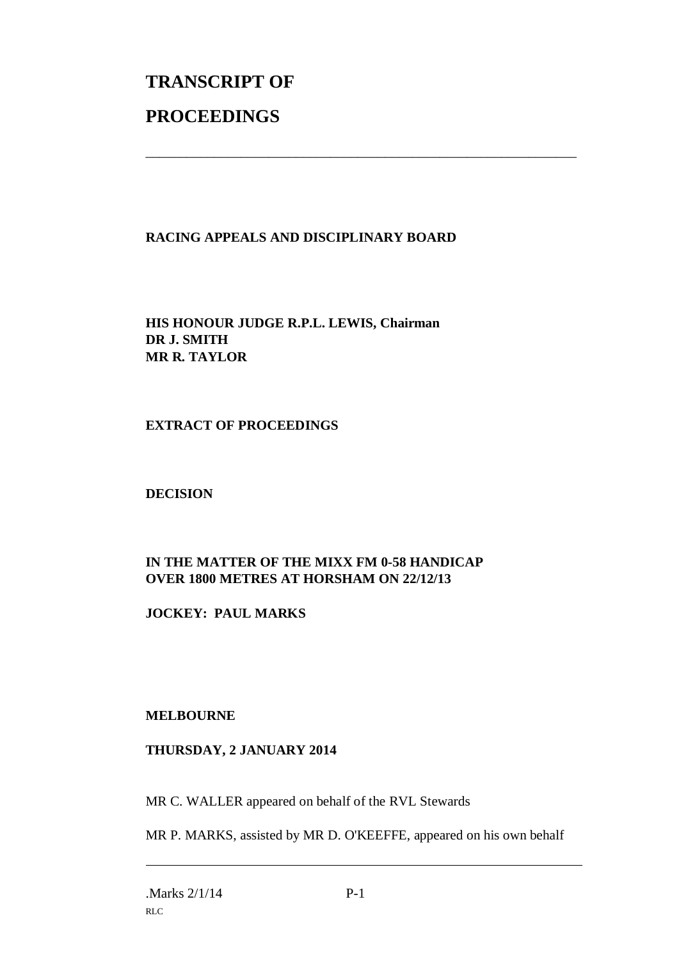# **TRANSCRIPT OF PROCEEDINGS**

### **RACING APPEALS AND DISCIPLINARY BOARD**

\_\_\_\_\_\_\_\_\_\_\_\_\_\_\_\_\_\_\_\_\_\_\_\_\_\_\_\_\_\_\_\_\_\_\_\_\_\_\_\_\_\_\_\_\_\_\_\_\_\_\_\_\_\_\_\_\_\_\_\_\_\_\_

**HIS HONOUR JUDGE R.P.L. LEWIS, Chairman DR J. SMITH MR R. TAYLOR**

**EXTRACT OF PROCEEDINGS**

**DECISION**

### **IN THE MATTER OF THE MIXX FM 0-58 HANDICAP OVER 1800 METRES AT HORSHAM ON 22/12/13**

**JOCKEY: PAUL MARKS**

#### **MELBOURNE**

#### **THURSDAY, 2 JANUARY 2014**

MR C. WALLER appeared on behalf of the RVL Stewards

MR P. MARKS, assisted by MR D. O'KEEFFE, appeared on his own behalf